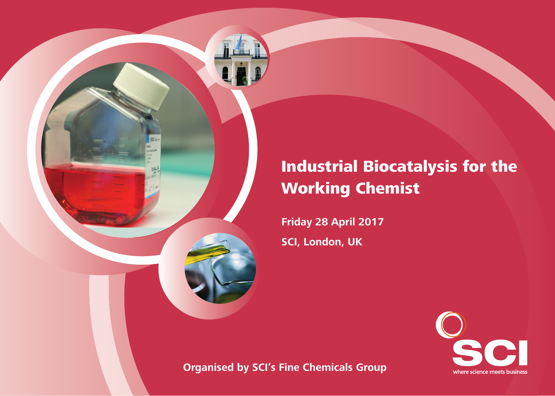

# Industrial Biocatalysis for the Working Chemist

**Friday 28 April 2017 SCI, London, UK**



**Organised by SCI's Fine Chemicals Group**